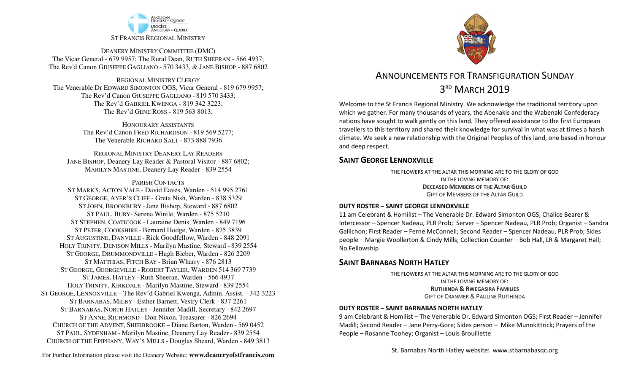

DEANERY MINISTRY COMMITTEE (DMC) The Vicar General - 679 9957; The Rural Dean, RUTH SHEERAN - 566 4937; The Rev'd Canon GIUSEPPE GAGLIANO - <sup>570</sup> 3433, & JANE BISHOP - 887 6802

REGIONAL MINISTRY CLERGY The Venerable Dr EDWARD SIMONTON OGS, Vicar General - 819 679 9957;The Rev'd Canon GIUSEPPE GAGLIANO - <sup>819</sup> <sup>570</sup> 3433; The Rev'd GABRIEL KWENGA - 819 342 3223;The Rev'd GENE ROSS - 819 563 8013;

> HONOURARY ASSISTANTS The Rev'd Canon FRED RICHARDSON - 819 569 5277;The Venerable RICHARD SALT - 873 888 7936

REGIONAL MINISTRY DEANERY LAY READERS JANE BISHOP, Deanery Lay Reader & Pastoral Visitor - 887 6802;MARILYN MASTINE, Deanery Lay Reader - 839 2554

#### PARISH CONTACTS

 ST MARK'S, ACTON VALE - David Eaves, Warden - 514 995 2761 ST GEORGE, AYER'S CLIFF - Greta Nish, Warden - 838 5329 ST JOHN, BROOKBURY -Jane Bishop, Steward - 887 6802 ST PAUL, BURY- Serena Wintle, Warden - 875 5210 ST STEPHEN, COATICOOK - Lauraine Denis, Warden - 849 7196 ST PETER, COOKSHIRE - Bernard Hodge, Warden - 875 3839 ST AUGUSTINE, DANVILLE - Rick Goodfellow, Warden - 848 2091 HOLY TRINITY, DENISON MILLS - Marilyn Mastine, Steward - <sup>839</sup> <sup>2554</sup> ST GEORGE, DRUMMONDVILLE - Hugh Bieber, Warden - 826 2209 ST MATTHIAS, FITCH BAY - Brian Wharry - 876 2813 ST GEORGE, GEORGEVILLE - <sup>R</sup>OBERT TAYLER, <sup>W</sup>ARDEN <sup>514</sup> <sup>369</sup> <sup>7739</sup> ST JAMES, HATLEY - Ruth Sheeran, Warden - 566 4937 HOLY TRINITY, KIRKDALE - Marilyn Mastine, Steward - <sup>839</sup> <sup>2554</sup> ST GEORGE, LENNOXVILLE – The Rev'd Gabriel Kwenga, Admin. Assist. - 342 3223 ST BARNABAS, MILBY - Esther Barnett, Vestry Clerk - 837 2261 ST BARNABAS, NORTH HATLEY -Jennifer Madill, Secretary - <sup>842</sup> <sup>2697</sup> ST ANNE, RICHMOND - Don Nixon, Treasurer - 826 <sup>2694</sup> CHURCH OF THE ADVENT, SHERBROOKE – Diane Barton, Warden - <sup>569</sup> <sup>0452</sup> ST PAUL, SYDENHAM - Marilyn Mastine, Deanery Lay Reader - <sup>839</sup> <sup>2554</sup> CHURCH OF THE EPIPHANY, WAY'S MILLS - Douglas Sheard, Warden - 849 3813



# ANNOUNCEMENTS FOR TRANSFIGURATION SUNDAY3<sup>RD</sup> MARCH 2019

Welcome to the St Francis Regional Ministry. We acknowledge the traditional territory upon which we gather. For many thousands of years, the Abenakis and the Wabenaki Confederacy nations have sought to walk gently on this land. They offered assistance to the first European travellers to this territory and shared their knowledge for survival in what was at times a harsh climate. We seek a new relationship with the Original Peoples of this land, one based in honour and deep respect.

### **SAINT GEORGE LENNOXVILLE**

THE FLOWERS AT THE ALTAR THIS MORNING ARE TO THE GLORY OF GODIN THE LOVING MEMORY OF: **DECEASED MEMBERS OF THE ALTAR GUILD**GIFT OF MEMBERS OF THE ALTAR GUILD

#### **DUTY ROSTER – SAINT GEORGE LENNOXVILLE**

11 am Celebrant & Homilist – The Venerable Dr. Edward Simonton OGS; Chalice Bearer & Intercessor – Spencer Nadeau, PLR Prob; Server – Spencer Nadeau, PLR Prob; Organist – Sandra Gallichon; First Reader – Ferne McConnell; Second Reader – Spencer Nadeau, PLR Prob; Sides people – Margie Woollerton & Cindy Mills; Collection Counter – Bob Hall, LR & Margaret Hall; No Fellowship

### **SAINT BARNABAS NORTH HATLEY**

THE FLOWERS AT THE ALTAR THIS MORNING ARE TO THE GLORY OF GODIN THE LOVING MEMORY OF: **RUTIHINDA & <sup>R</sup>WEGASIRA FAMILIES** GIFT OF CRANMER & <sup>P</sup>AULINE RUTIHINDA

#### **DUTY ROSTER – SAINT BARNABAS NORTH HATLEY**

9 am Celebrant & Homilist – The Venerable Dr. Edward Simonton OGS; First Reader – Jennifer Madill; Second Reader – Jane Perry-Gore; Sides person – Mike Munnkittrick; Prayers of the People – Rosanne Toohey; Organist – Louis Brouillette

St. Barnabas North Hatley website: www.stbarnabasqc.org

For Further Information please visit the Deanery Website: **www.deaneryofstfrancis.com**